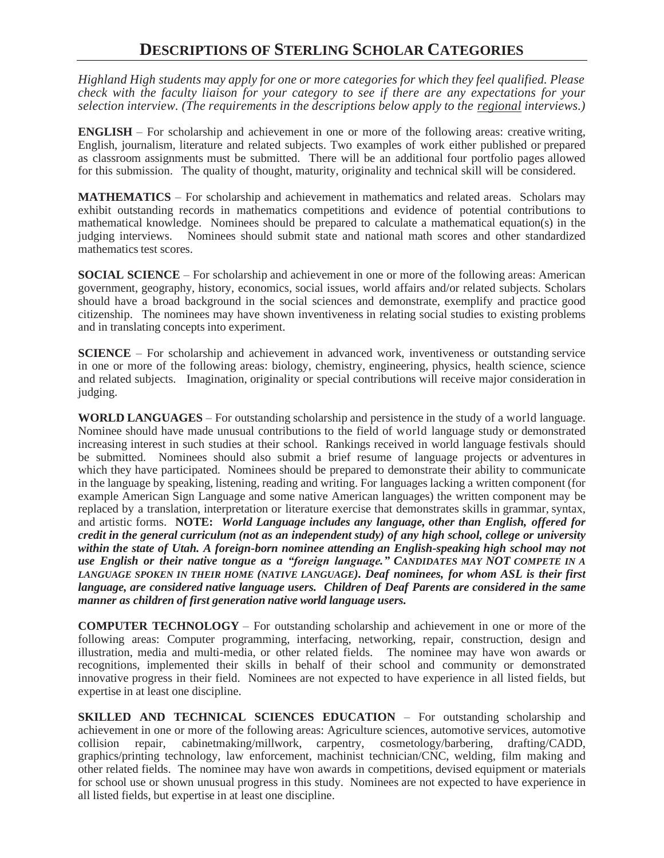## **DESCRIPTIONS OF STERLING SCHOLAR CATEGORIES**

*Highland High students may apply for one or more categories for which they feel qualified. Please check with the faculty liaison for your category to see if there are any expectations for your selection interview. (The requirements in the descriptions below apply to the regional interviews.)*

**ENGLISH** – For scholarship and achievement in one or more of the following areas: creative writing, English, journalism, literature and related subjects. Two examples of work either published or prepared as classroom assignments must be submitted. There will be an additional four portfolio pages allowed for this submission. The quality of thought, maturity, originality and technical skill will be considered.

**MATHEMATICS** – For scholarship and achievement in mathematics and related areas. Scholars may exhibit outstanding records in mathematics competitions and evidence of potential contributions to mathematical knowledge. Nominees should be prepared to calculate a mathematical equation(s) in the judging interviews. Nominees should submit state and national math scores and other standardized mathematics test scores.

**SOCIAL SCIENCE** – For scholarship and achievement in one or more of the following areas: American government, geography, history, economics, social issues, world affairs and/or related subjects. Scholars should have a broad background in the social sciences and demonstrate, exemplify and practice good citizenship. The nominees may have shown inventiveness in relating social studies to existing problems and in translating concepts into experiment.

**SCIENCE** – For scholarship and achievement in advanced work, inventiveness or outstanding service in one or more of the following areas: biology, chemistry, engineering, physics, health science, science and related subjects. Imagination, originality or special contributions will receive major consideration in judging.

**WORLD LANGUAGES** – For outstanding scholarship and persistence in the study of a world language. Nominee should have made unusual contributions to the field of world language study or demonstrated increasing interest in such studies at their school. Rankings received in world language festivals should be submitted. Nominees should also submit a brief resume of language projects or adventures in which they have participated. Nominees should be prepared to demonstrate their ability to communicate in the language by speaking, listening, reading and writing. For languages lacking a written component (for example American Sign Language and some native American languages) the written component may be replaced by a translation, interpretation or literature exercise that demonstrates skills in grammar, syntax, and artistic forms. **NOTE:** *World Language includes any language, other than English, offered for credit in the general curriculum (not as an independent study) of any high school, college or university within the state of Utah. A foreign-born nominee attending an English-speaking high school may not use English or their native tongue as a "foreign language." CANDIDATES MAY NOT COMPETE IN A LANGUAGE SPOKEN IN THEIR HOME (NATIVE LANGUAGE). Deaf nominees, for whom ASL is their first language, are considered native language users. Children of Deaf Parents are considered in the same manner as children of first generation native world language users.*

**COMPUTER TECHNOLOGY** – For outstanding scholarship and achievement in one or more of the following areas: Computer programming, interfacing, networking, repair, construction, design and illustration, media and multi-media, or other related fields. The nominee may have won awards or recognitions, implemented their skills in behalf of their school and community or demonstrated innovative progress in their field. Nominees are not expected to have experience in all listed fields, but expertise in at least one discipline.

**SKILLED AND TECHNICAL SCIENCES EDUCATION** – For outstanding scholarship and achievement in one or more of the following areas: Agriculture sciences, automotive services, automotive collision repair, cabinetmaking/millwork, carpentry, cosmetology/barbering, drafting/CADD, graphics/printing technology, law enforcement, machinist technician/CNC, welding, film making and other related fields. The nominee may have won awards in competitions, devised equipment or materials for school use or shown unusual progress in this study. Nominees are not expected to have experience in all listed fields, but expertise in at least one discipline.